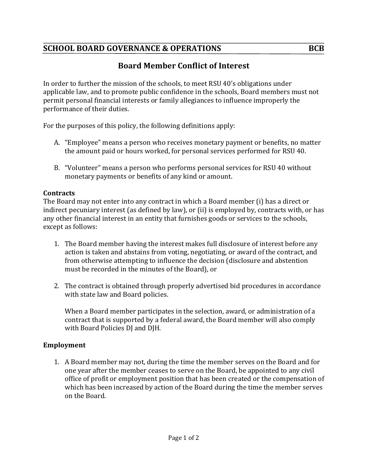## **SCHOOL BOARD GOVERNANCE & OPERATIONS BCB**

# **Board Member Conflict of Interest**

In order to further the mission of the schools, to meet RSU 40's obligations under applicable law, and to promote public confidence in the schools, Board members must not permit personal financial interests or family allegiances to influence improperly the performance of their duties.

For the purposes of this policy, the following definitions apply:

- A. "Employee" means a person who receives monetary payment or benefits, no matter the amount paid or hours worked, for personal services performed for RSU 40.
- B. "Volunteer" means a person who performs personal services for RSU 40 without monetary payments or benefits of any kind or amount.

#### **Contracts**

The Board may not enter into any contract in which a Board member (i) has a direct or indirect pecuniary interest (as defined by law), or (ii) is employed by, contracts with, or has any other financial interest in an entity that furnishes goods or services to the schools, except as follows:

- 1. The Board member having the interest makes full disclosure of interest before any action is taken and abstains from voting, negotiating, or award of the contract, and from otherwise attempting to influence the decision (disclosure and abstention must be recorded in the minutes of the Board), or
- 2. The contract is obtained through properly advertised bid procedures in accordance with state law and Board policies.

When a Board member participates in the selection, award, or administration of a contract that is supported by a federal award, the Board member will also comply with Board Policies DJ and DJH.

### **Employment**

1. A Board member may not, during the time the member serves on the Board and for one year after the member ceases to serve on the Board, be appointed to any civil office of profit or employment position that has been created or the compensation of which has been increased by action of the Board during the time the member serves on the Board.